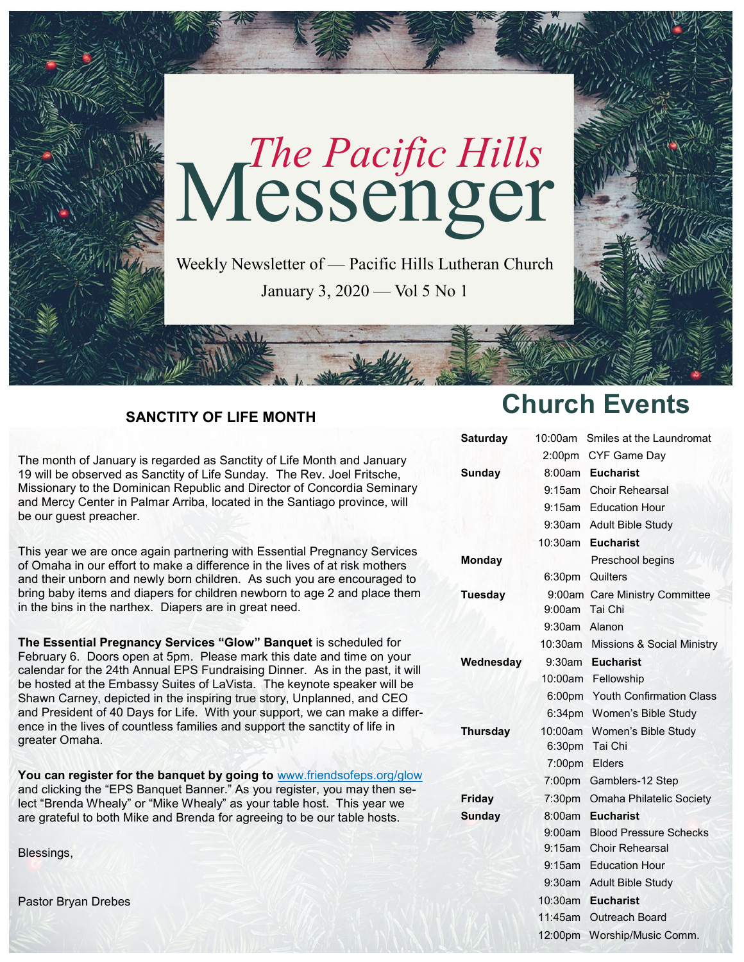

## **SANCTITY OF LIFE MONTH**

The month of January is regarded as Sanctity of Life Month and January 19 will be observed as Sanctity of Life Sunday. The Rev. Joel Fritsche, Missionary to the Dominican Republic and Director of Concordia Seminary and Mercy Center in Palmar Arriba, located in the Santiago province, will be our guest preacher.

This year we are once again partnering with Essential Pregnancy Services of Omaha in our effort to make a difference in the lives of at risk mothers and their unborn and newly born children. As such you are encouraged to bring baby items and diapers for children newborn to age 2 and place them in the bins in the narthex. Diapers are in great need.

**The Essential Pregnancy Services "Glow" Banquet** is scheduled for February 6. Doors open at 5pm. Please mark this date and time on your calendar for the 24th Annual EPS Fundraising Dinner. As in the past, it will be hosted at the Embassy Suites of LaVista. The keynote speaker will be Shawn Carney, depicted in the inspiring true story, Unplanned, and CEO and President of 40 Days for Life. With your support, we can make a difference in the lives of countless families and support the sanctity of life in greater Omaha.

**You can register for the banquet by going to** [www.friendsofeps.org/glow](http://www.friendsofeps.org/glow) and clicking the "EPS Banquet Banner." As you register, you may then select "Brenda Whealy" or "Mike Whealy" as your table host. This year we are grateful to both Mike and Brenda for agreeing to be our table hosts.

Blessings,

Pastor Bryan Drebes

# **Church Events**

| <b>Saturday</b> | 10:00am            | Smiles at the Laundromat                      |
|-----------------|--------------------|-----------------------------------------------|
|                 | 2:00pm             | CYF Game Day                                  |
| Sunday          |                    | 8:00am Eucharist                              |
|                 | $9:15$ am          | <b>Choir Rehearsal</b>                        |
|                 | 9:15am             | <b>Education Hour</b>                         |
|                 | 9:30am             | <b>Adult Bible Study</b>                      |
|                 | 10:30am            | <b>Eucharist</b>                              |
| <b>Monday</b>   |                    | Preschool begins                              |
|                 | 6:30 <sub>pm</sub> | Quilters                                      |
| <b>Tuesday</b>  | 9:00am             | 9:00am Care Ministry Committee<br>Tai Chi     |
|                 | 9:30am Alanon      |                                               |
|                 |                    | 10:30am Missions & Social Ministry            |
| Wednesday       |                    | 9:30am Eucharist                              |
|                 |                    | 10:00am Fellowship                            |
|                 |                    | 6:00pm Youth Confirmation Class               |
|                 |                    | 6:34pm Women's Bible Study                    |
| Thursday        |                    | 10:00am Women's Bible Study<br>6:30pm Tai Chi |
|                 | 7:00pm Elders      |                                               |
|                 |                    | 7:00pm Gamblers-12 Step                       |
| Friday          | 7:30 <sub>pm</sub> | Omaha Philatelic Society                      |
| <b>Sunday</b>   | 8:00am             | <b>Eucharist</b>                              |
|                 | 9:00am             | <b>Blood Pressure Schecks</b>                 |
|                 | $9:15$ am          | <b>Choir Rehearsal</b>                        |
|                 | $9:15$ am          | <b>Education Hour</b>                         |
|                 | $9:30$ am          | <b>Adult Bible Study</b>                      |
|                 | 10:30am            | <b>Eucharist</b>                              |
|                 | 11:45am            | <b>Outreach Board</b>                         |
|                 | 12:00pm            | Worship/Music Comm.                           |